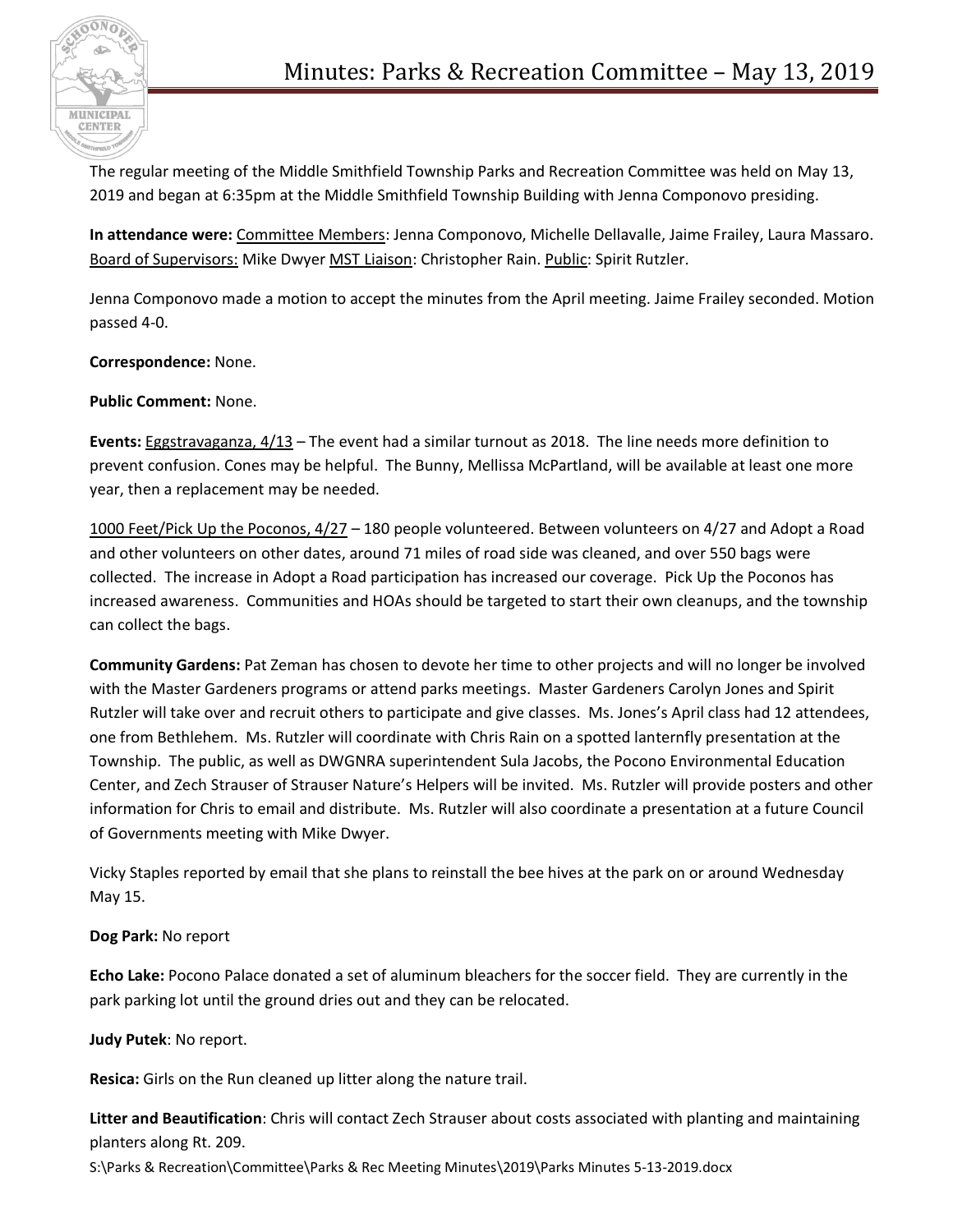

The regular meeting of the Middle Smithfield Township Parks and Recreation Committee was held on May 13, 2019 and began at 6:35pm at the Middle Smithfield Township Building with Jenna Componovo presiding.

**In attendance were:** Committee Members: Jenna Componovo, Michelle Dellavalle, Jaime Frailey, Laura Massaro. Board of Supervisors: Mike Dwyer MST Liaison: Christopher Rain. Public: Spirit Rutzler.

Jenna Componovo made a motion to accept the minutes from the April meeting. Jaime Frailey seconded. Motion passed 4-0.

**Correspondence:** None.

**Public Comment:** None.

**Events:** Eggstravaganza, 4/13 – The event had a similar turnout as 2018. The line needs more definition to prevent confusion. Cones may be helpful. The Bunny, Mellissa McPartland, will be available at least one more year, then a replacement may be needed.

1000 Feet/Pick Up the Poconos, 4/27 – 180 people volunteered. Between volunteers on 4/27 and Adopt a Road and other volunteers on other dates, around 71 miles of road side was cleaned, and over 550 bags were collected. The increase in Adopt a Road participation has increased our coverage. Pick Up the Poconos has increased awareness. Communities and HOAs should be targeted to start their own cleanups, and the township can collect the bags.

**Community Gardens:** Pat Zeman has chosen to devote her time to other projects and will no longer be involved with the Master Gardeners programs or attend parks meetings. Master Gardeners Carolyn Jones and Spirit Rutzler will take over and recruit others to participate and give classes. Ms. Jones's April class had 12 attendees, one from Bethlehem. Ms. Rutzler will coordinate with Chris Rain on a spotted lanternfly presentation at the Township. The public, as well as DWGNRA superintendent Sula Jacobs, the Pocono Environmental Education Center, and Zech Strauser of Strauser Nature's Helpers will be invited. Ms. Rutzler will provide posters and other information for Chris to email and distribute. Ms. Rutzler will also coordinate a presentation at a future Council of Governments meeting with Mike Dwyer.

Vicky Staples reported by email that she plans to reinstall the bee hives at the park on or around Wednesday May 15.

## **Dog Park:** No report

**Echo Lake:** Pocono Palace donated a set of aluminum bleachers for the soccer field. They are currently in the park parking lot until the ground dries out and they can be relocated.

## **Judy Putek**: No report.

**Resica:** Girls on the Run cleaned up litter along the nature trail.

**Litter and Beautification**: Chris will contact Zech Strauser about costs associated with planting and maintaining planters along Rt. 209.

S:\Parks & Recreation\Committee\Parks & Rec Meeting Minutes\2019\Parks Minutes 5-13-2019.docx